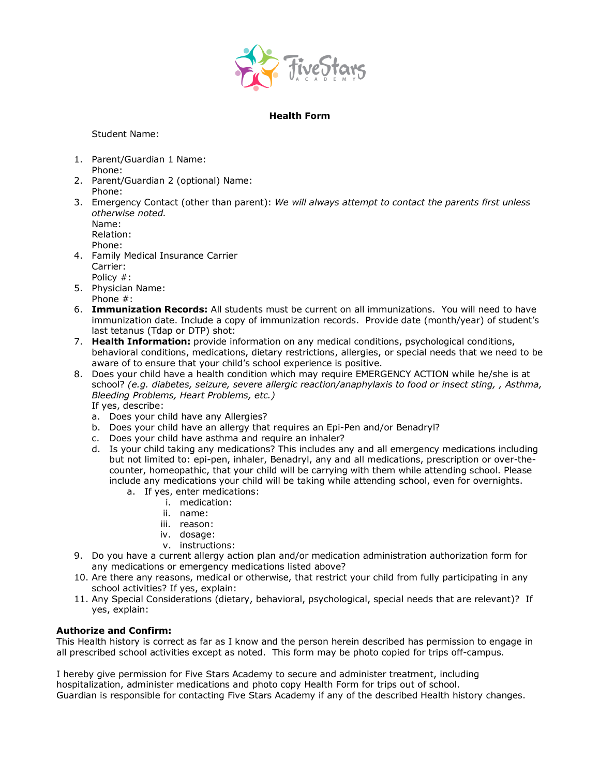

## **Health Form**

## Student Name:

- 1. Parent/Guardian 1 Name: Phone:
- 2. Parent/Guardian 2 (optional) Name: Phone:
- 3. Emergency Contact (other than parent): *We will always attempt to contact the parents first unless otherwise noted.*
	- Name: Relation:
	- Phone:
	-
- 4. Family Medical Insurance Carrier Carrier: Policy #:
- 5. Physician Name:
- Phone #:
- 6. **Immunization Records:** All students must be current on all immunizations. You will need to have immunization date. Include a copy of immunization records. Provide date (month/year) of student's last tetanus (Tdap or DTP) shot:
- 7. **Health Information:** provide information on any medical conditions, psychological conditions, behavioral conditions, medications, dietary restrictions, allergies, or special needs that we need to be aware of to ensure that your child's school experience is positive.
- 8. Does your child have a health condition which may require EMERGENCY ACTION while he/she is at school? *(e.g. diabetes, seizure, severe allergic reaction/anaphylaxis to food or insect sting, , Asthma, Bleeding Problems, Heart Problems, etc.)*

If yes, describe:

- a. Does your child have any Allergies?
- b. Does your child have an allergy that requires an Epi-Pen and/or Benadryl?
- c. Does your child have asthma and require an inhaler?
- d. Is your child taking any medications? This includes any and all emergency medications including but not limited to: epi-pen, inhaler, Benadryl, any and all medications, prescription or over-thecounter, homeopathic, that your child will be carrying with them while attending school. Please include any medications your child will be taking while attending school, even for overnights.
	- a. If yes, enter medications:
		- i. medication:
		- ii. name:
		- iii. reason:
		- iv. dosage:
		- v. instructions:
- 9. Do you have a current allergy action plan and/or medication administration authorization form for any medications or emergency medications listed above?
- 10. Are there any reasons, medical or otherwise, that restrict your child from fully participating in any school activities? If yes, explain:
- 11. Any Special Considerations (dietary, behavioral, psychological, special needs that are relevant)? If yes, explain:

## **Authorize and Confirm:**

This Health history is correct as far as I know and the person herein described has permission to engage in all prescribed school activities except as noted. This form may be photo copied for trips off-campus.

I hereby give permission for Five Stars Academy to secure and administer treatment, including hospitalization, administer medications and photo copy Health Form for trips out of school. Guardian is responsible for contacting Five Stars Academy if any of the described Health history changes.